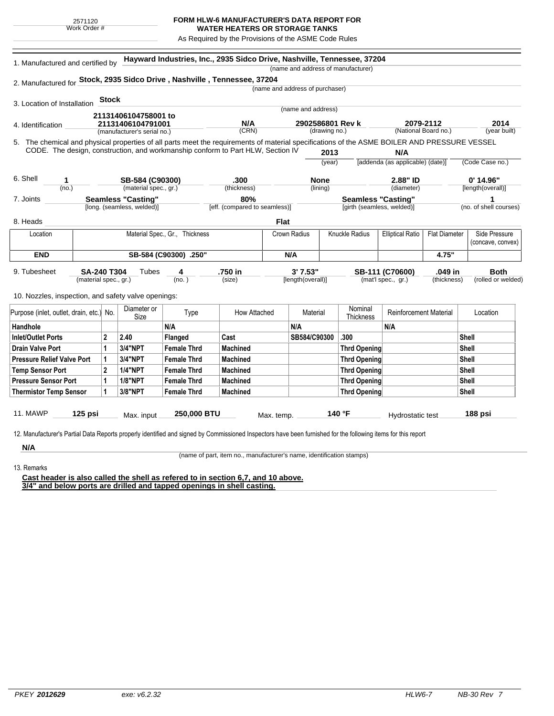## **FORM HLW-6 MANUFACTURER'S DATA REPORT FOR**

**WATER HEATERS OR STORAGE TANKS** As Required by the Provisions of the ASME Code Rules

5. (year built) **Hayward Industries, Inc., 2935 Sidco Drive, Nashville, Tennessee, 37204** 1. Manufactured and certified by 2. Manufactured for **Stock, 2935 Sidco Drive , Nashville , Tennessee, 37204** 3. Location of Installation 4. Identification (manufacturer's serial no.) (CRN) (drawing no.) (National Board no.) 11. MAWP **125 psi** Max. input **250,000 BTU** Max. temp. **140 °F** Hydrostatic test **188 psi** (material spec., gr.) 9. Tubesheet 10. Nozzles, inspection, and safety valve openings: **Stock** The chemical and physical properties of all parts meet the requirements of material specifications of the ASME BOILER AND PRESSURE VESSEL CODE. The design, construction, and workmanship conform to Part HLW, Section IV **2013** (year) (no.) (material spec., gr.) (thickness) 6. Shell 7. Joints 8. Heads [long. (seamless, welded)] [eff. (compared to seamless)] [girth (seamless, welded)] (no. of shell courses) **N/A** [addenda (as applicable) (date)] (Code Case no.) (diameter) [length(overall)] (name and address of manufacturer) (name and address of purchaser) (name and address) (lining)  $(no. )$ **Tubes** (size) [length(overall)] (mat'l spec., gr.) (thickness) (rolled or welded) **2079-2112 2014 21131406104758001 to 21131406104791001 N/A 2902586801 Rev k 1 SB-584 (C90300) .300 None 2.88" ID 0' 14.96" Seamless "Casting" 80% Seamless "Casting" 1 SA-240 T304 4 .750 in 3' 7.53" SB-111 (C70600) .049 in Both Flat** Location | Material Spec., Gr., Thickness | Crown Radius | Knuckle Radius | Elliptical Ratio | Flat Diameter | Side Pressure (concave, convex) **END SB-584 (C90300) .250" N/A 4.75"** Purpose (inlet, outlet, drain, etc.) No.  $\begin{array}{|c|c|} \hline \text{Diameter or } \\ \text{Size} \end{array}$ meter or **Type** How Attached Material Nominal<br>Size Thicknes Nominal Reinforcement Material Location Handhole N/A N/A N/A Inlet/Outlet Ports 2 2.40 Flanged Cast SB584/C90300 .300 Shell Drain Valve Port |1 |3/4"NPT |Female Thrd |Machined |Thrd Opening |Shell Pressure Relief Valve Port | 1 | 3/4"NPT | Female Thrd | Machined | Thrd Opening | Thrd Opening | Shell Temp Sensor Port |2 |1/4"NPT | Female Thrd | Machined | Shell Pressure Sensor Port | 1 | 1/8"NPT | Female Thrd | Machined | Thrd Opening | Thrd Opening | Shell Thermistor Temp Sensor | 1 | 3/8"NPT | Female Thrd | Machined Three Three Thrd Opening | Thrd Opening | Shell

12. Manufacturer's Partial Data Reports properly identified and signed by Commissioned Inspectors have been furnished for the following items for this report

**N/A** 13. Remarks

(name of part, item no., manufacturer's name, identification stamps)

**Cast header is also called the shell as refered to in section 6,7, and 10 above. 3/4" and below ports are drilled and tapped openings in shell casting.**